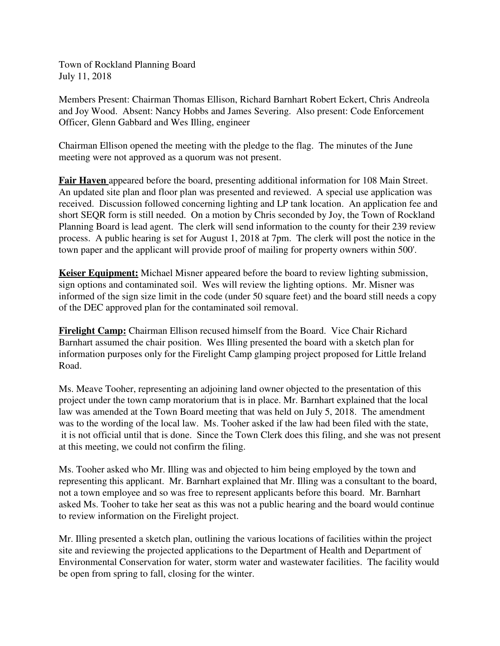Town of Rockland Planning Board July 11, 2018

Members Present: Chairman Thomas Ellison, Richard Barnhart Robert Eckert, Chris Andreola and Joy Wood. Absent: Nancy Hobbs and James Severing. Also present: Code Enforcement Officer, Glenn Gabbard and Wes Illing, engineer

Chairman Ellison opened the meeting with the pledge to the flag. The minutes of the June meeting were not approved as a quorum was not present.

**Fair Haven** appeared before the board, presenting additional information for 108 Main Street. An updated site plan and floor plan was presented and reviewed. A special use application was received. Discussion followed concerning lighting and LP tank location. An application fee and short SEQR form is still needed. On a motion by Chris seconded by Joy, the Town of Rockland Planning Board is lead agent. The clerk will send information to the county for their 239 review process. A public hearing is set for August 1, 2018 at 7pm. The clerk will post the notice in the town paper and the applicant will provide proof of mailing for property owners within 500'.

**Keiser Equipment:** Michael Misner appeared before the board to review lighting submission, sign options and contaminated soil. Wes will review the lighting options. Mr. Misner was informed of the sign size limit in the code (under 50 square feet) and the board still needs a copy of the DEC approved plan for the contaminated soil removal.

**Firelight Camp:** Chairman Ellison recused himself from the Board. Vice Chair Richard Barnhart assumed the chair position. Wes Illing presented the board with a sketch plan for information purposes only for the Firelight Camp glamping project proposed for Little Ireland Road.

Ms. Meave Tooher, representing an adjoining land owner objected to the presentation of this project under the town camp moratorium that is in place. Mr. Barnhart explained that the local law was amended at the Town Board meeting that was held on July 5, 2018. The amendment was to the wording of the local law. Ms. Tooher asked if the law had been filed with the state, it is not official until that is done. Since the Town Clerk does this filing, and she was not present at this meeting, we could not confirm the filing.

Ms. Tooher asked who Mr. Illing was and objected to him being employed by the town and representing this applicant. Mr. Barnhart explained that Mr. Illing was a consultant to the board, not a town employee and so was free to represent applicants before this board. Mr. Barnhart asked Ms. Tooher to take her seat as this was not a public hearing and the board would continue to review information on the Firelight project.

Mr. Illing presented a sketch plan, outlining the various locations of facilities within the project site and reviewing the projected applications to the Department of Health and Department of Environmental Conservation for water, storm water and wastewater facilities. The facility would be open from spring to fall, closing for the winter.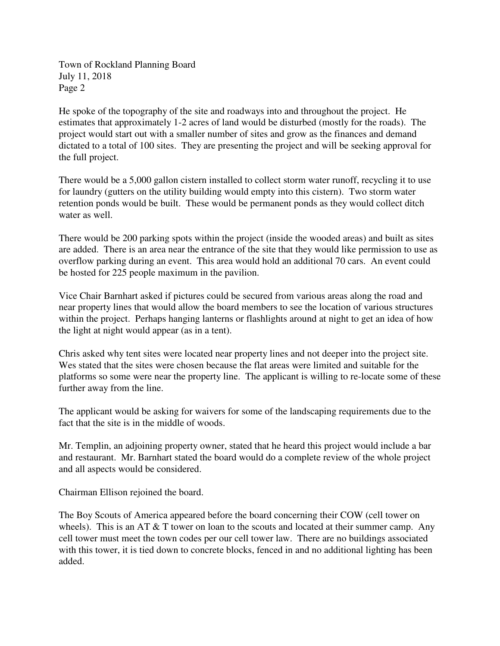Town of Rockland Planning Board July 11, 2018 Page 2

He spoke of the topography of the site and roadways into and throughout the project. He estimates that approximately 1-2 acres of land would be disturbed (mostly for the roads). The project would start out with a smaller number of sites and grow as the finances and demand dictated to a total of 100 sites. They are presenting the project and will be seeking approval for the full project.

There would be a 5,000 gallon cistern installed to collect storm water runoff, recycling it to use for laundry (gutters on the utility building would empty into this cistern). Two storm water retention ponds would be built. These would be permanent ponds as they would collect ditch water as well.

There would be 200 parking spots within the project (inside the wooded areas) and built as sites are added. There is an area near the entrance of the site that they would like permission to use as overflow parking during an event. This area would hold an additional 70 cars. An event could be hosted for 225 people maximum in the pavilion.

Vice Chair Barnhart asked if pictures could be secured from various areas along the road and near property lines that would allow the board members to see the location of various structures within the project. Perhaps hanging lanterns or flashlights around at night to get an idea of how the light at night would appear (as in a tent).

Chris asked why tent sites were located near property lines and not deeper into the project site. Wes stated that the sites were chosen because the flat areas were limited and suitable for the platforms so some were near the property line. The applicant is willing to re-locate some of these further away from the line.

The applicant would be asking for waivers for some of the landscaping requirements due to the fact that the site is in the middle of woods.

Mr. Templin, an adjoining property owner, stated that he heard this project would include a bar and restaurant. Mr. Barnhart stated the board would do a complete review of the whole project and all aspects would be considered.

Chairman Ellison rejoined the board.

The Boy Scouts of America appeared before the board concerning their COW (cell tower on wheels). This is an AT  $&$  T tower on loan to the scouts and located at their summer camp. Any cell tower must meet the town codes per our cell tower law. There are no buildings associated with this tower, it is tied down to concrete blocks, fenced in and no additional lighting has been added.